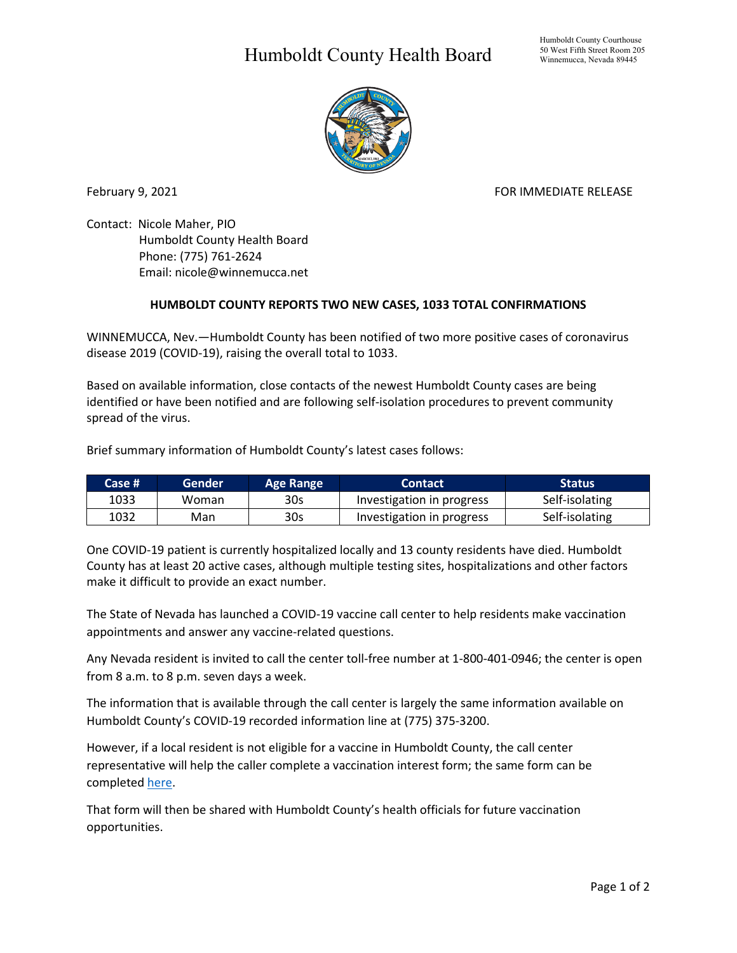## Humboldt County Health Board



February 9, 2021 **FOR IMMEDIATE RELEASE** 

Contact: Nicole Maher, PIO Humboldt County Health Board Phone: (775) 761-2624 Email: nicole@winnemucca.net

## **HUMBOLDT COUNTY REPORTS TWO NEW CASES, 1033 TOTAL CONFIRMATIONS**

WINNEMUCCA, Nev.—Humboldt County has been notified of two more positive cases of coronavirus disease 2019 (COVID-19), raising the overall total to 1033.

Based on available information, close contacts of the newest Humboldt County cases are being identified or have been notified and are following self-isolation procedures to prevent community spread of the virus.

Brief summary information of Humboldt County's latest cases follows:

| Case # | 'Gender | Age Range       | <b>Contact</b>            | <b>Status</b>  |
|--------|---------|-----------------|---------------------------|----------------|
| 1033   | Woman   | 30s             | Investigation in progress | Self-isolating |
| 1032   | Man     | 30 <sub>s</sub> | Investigation in progress | Self-isolating |

One COVID-19 patient is currently hospitalized locally and 13 county residents have died. Humboldt County has at least 20 active cases, although multiple testing sites, hospitalizations and other factors make it difficult to provide an exact number.

The State of Nevada has launched a COVID-19 vaccine call center to help residents make vaccination appointments and answer any vaccine-related questions.

Any Nevada resident is invited to call the center toll-free number at 1-800-401-0946; the center is open from 8 a.m. to 8 p.m. seven days a week.

The information that is available through the call center is largely the same information available on Humboldt County's COVID-19 recorded information line at (775) 375-3200.

However, if a local resident is not eligible for a vaccine in Humboldt County, the call center representative will help the caller complete a vaccination interest form; the same form can be complete[d here.](https://dpbhrdc.nv.gov/redcap/surveys/?s=N7ACTF4CYL)

That form will then be shared with Humboldt County's health officials for future vaccination opportunities.